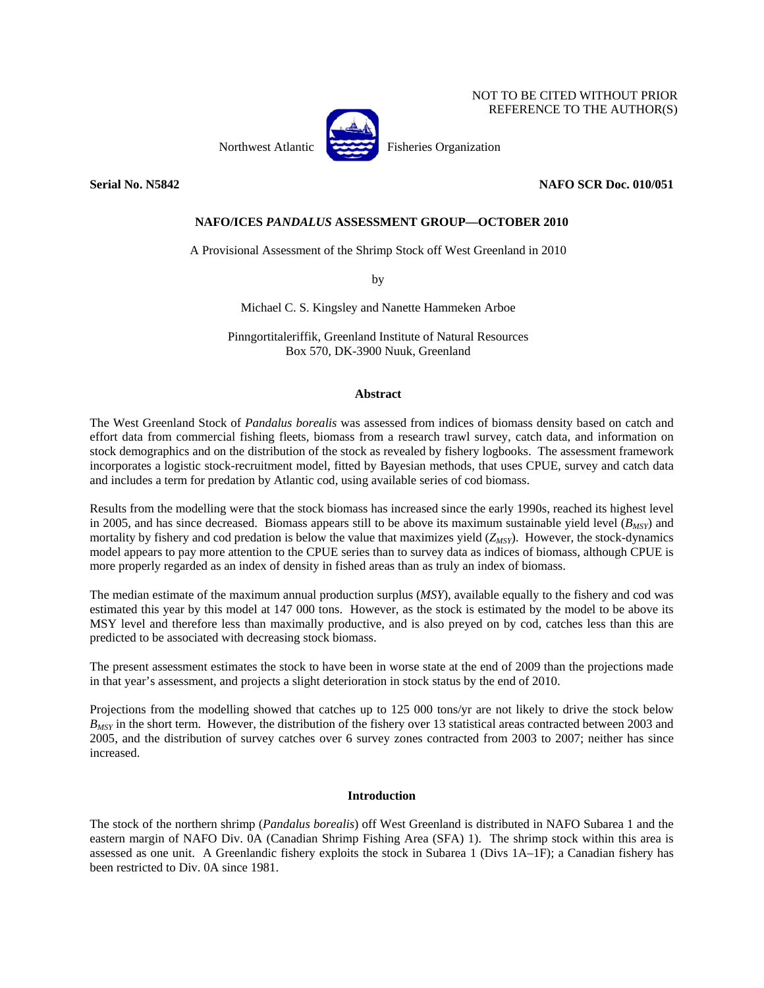# NOT TO BE CITED WITHOUT PRIOR REFERENCE TO THE AUTHOR(S)



Northwest Atlantic Fisheries Organization

## **Serial No. N5842** NAFO SCR Doc. 010/051

## **NAFO/ICES** *PANDALUS* **ASSESSMENT GROUP—OCTOBER 2010**

A Provisional Assessment of the Shrimp Stock off West Greenland in 2010

by

Michael C. S. Kingsley and Nanette Hammeken Arboe

Pinngortitaleriffik, Greenland Institute of Natural Resources Box 570, DK-3900 Nuuk, Greenland

#### **Abstract**

The West Greenland Stock of *Pandalus borealis* was assessed from indices of biomass density based on catch and effort data from commercial fishing fleets, biomass from a research trawl survey, catch data, and information on stock demographics and on the distribution of the stock as revealed by fishery logbooks. The assessment framework incorporates a logistic stock-recruitment model, fitted by Bayesian methods, that uses CPUE, survey and catch data and includes a term for predation by Atlantic cod, using available series of cod biomass.

Results from the modelling were that the stock biomass has increased since the early 1990s, reached its highest level in 2005, and has since decreased. Biomass appears still to be above its maximum sustainable yield level  $(B_{MST})$  and mortality by fishery and cod predation is below the value that maximizes yield (*Z<sub>MSY</sub>*). However, the stock-dynamics model appears to pay more attention to the CPUE series than to survey data as indices of biomass, although CPUE is more properly regarded as an index of density in fished areas than as truly an index of biomass.

The median estimate of the maximum annual production surplus (*MSY*), available equally to the fishery and cod was estimated this year by this model at 147 000 tons. However, as the stock is estimated by the model to be above its MSY level and therefore less than maximally productive, and is also preyed on by cod, catches less than this are predicted to be associated with decreasing stock biomass.

The present assessment estimates the stock to have been in worse state at the end of 2009 than the projections made in that year's assessment, and projects a slight deterioration in stock status by the end of 2010.

Projections from the modelling showed that catches up to 125 000 tons/yr are not likely to drive the stock below *B<sub>MSY</sub>* in the short term. However, the distribution of the fishery over 13 statistical areas contracted between 2003 and 2005, and the distribution of survey catches over 6 survey zones contracted from 2003 to 2007; neither has since increased.

### **Introduction**

The stock of the northern shrimp (*Pandalus borealis*) off West Greenland is distributed in NAFO Subarea 1 and the eastern margin of NAFO Div. 0A (Canadian Shrimp Fishing Area (SFA) 1). The shrimp stock within this area is assessed as one unit. A Greenlandic fishery exploits the stock in Subarea 1 (Divs 1A–1F); a Canadian fishery has been restricted to Div. 0A since 1981.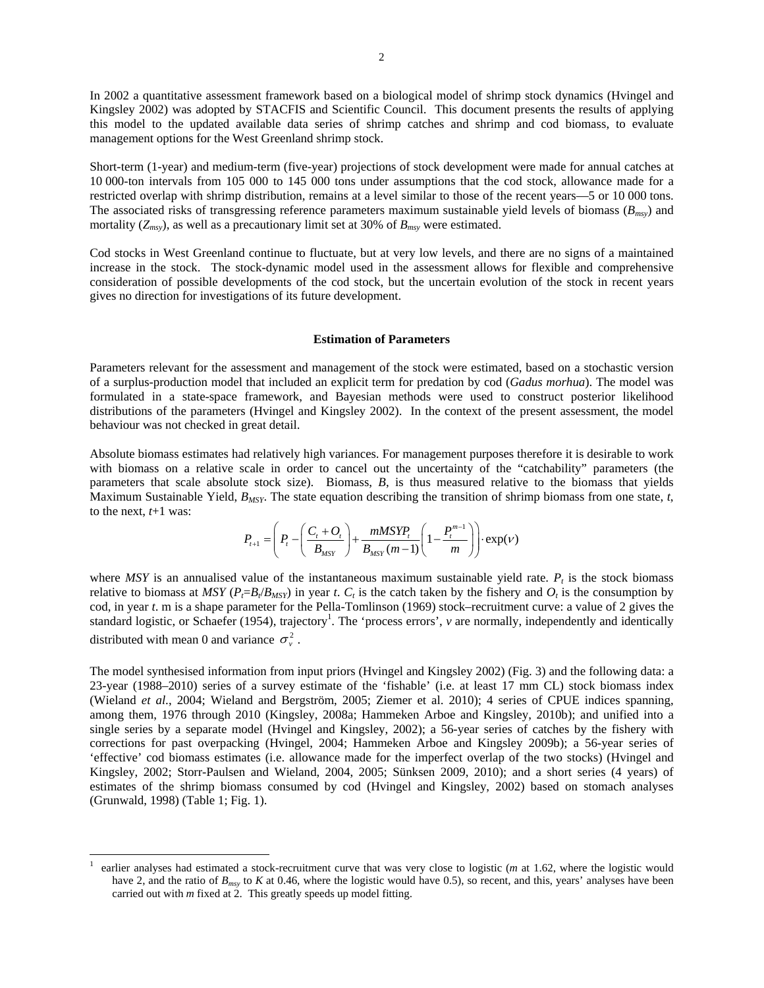In 2002 a quantitative assessment framework based on a biological model of shrimp stock dynamics (Hvingel and Kingsley 2002) was adopted by STACFIS and Scientific Council. This document presents the results of applying this model to the updated available data series of shrimp catches and shrimp and cod biomass, to evaluate management options for the West Greenland shrimp stock.

Short-term (1-year) and medium-term (five-year) projections of stock development were made for annual catches at 10 000-ton intervals from 105 000 to 145 000 tons under assumptions that the cod stock, allowance made for a restricted overlap with shrimp distribution, remains at a level similar to those of the recent years—5 or 10 000 tons. The associated risks of transgressing reference parameters maximum sustainable yield levels of biomass (*Bmsy*) and mortality  $(Z_{msy})$ , as well as a precautionary limit set at 30% of  $B_{msy}$  were estimated.

Cod stocks in West Greenland continue to fluctuate, but at very low levels, and there are no signs of a maintained increase in the stock. The stock-dynamic model used in the assessment allows for flexible and comprehensive consideration of possible developments of the cod stock, but the uncertain evolution of the stock in recent years gives no direction for investigations of its future development.

#### **Estimation of Parameters**

Parameters relevant for the assessment and management of the stock were estimated, based on a stochastic version of a surplus-production model that included an explicit term for predation by cod (*Gadus morhua*). The model was formulated in a state-space framework, and Bayesian methods were used to construct posterior likelihood distributions of the parameters (Hvingel and Kingsley 2002). In the context of the present assessment, the model behaviour was not checked in great detail.

Absolute biomass estimates had relatively high variances. For management purposes therefore it is desirable to work with biomass on a relative scale in order to cancel out the uncertainty of the "catchability" parameters (the parameters that scale absolute stock size). Biomass, *B*, is thus measured relative to the biomass that yields Maximum Sustainable Yield, *BMSY*. The state equation describing the transition of shrimp biomass from one state, *t*, to the next, *t*+1 was:

$$
P_{t+1} = \left(P_{t} - \left(\frac{C_{t} + O_{t}}{B_{MSY}}\right) + \frac{mMSYP_{t}}{B_{MSY}(m-1)}\left(1 - \frac{P_{t}^{m-1}}{m}\right)\right) \cdot \exp(V)
$$

where *MSY* is an annualised value of the instantaneous maximum sustainable yield rate.  $P_t$  is the stock biomass relative to biomass at *MSY* ( $P_f = B_f / B_{MSY}$ ) in year *t*.  $C_t$  is the catch taken by the fishery and  $O_t$  is the consumption by cod, in year *t*. m is a shape parameter for the Pella-Tomlinson (1969) stock–recruitment curve: a value of 2 gives the standard logistic, or Schaefer (1954), trajectory<sup>1</sup>. The 'process errors', *v* are normally, independently and identically distributed with mean 0 and variance  $\sigma_v^2$ .

The model synthesised information from input priors (Hvingel and Kingsley 2002) (Fig. 3) and the following data: a 23-year (1988–2010) series of a survey estimate of the 'fishable' (i.e. at least 17 mm CL) stock biomass index (Wieland *et al*., 2004; Wieland and Bergström, 2005; Ziemer et al. 2010); 4 series of CPUE indices spanning, among them, 1976 through 2010 (Kingsley, 2008a; Hammeken Arboe and Kingsley, 2010b); and unified into a single series by a separate model (Hvingel and Kingsley, 2002); a 56-year series of catches by the fishery with corrections for past overpacking (Hvingel, 2004; Hammeken Arboe and Kingsley 2009b); a 56-year series of 'effective' cod biomass estimates (i.e. allowance made for the imperfect overlap of the two stocks) (Hvingel and Kingsley, 2002; Storr-Paulsen and Wieland, 2004, 2005; Sünksen 2009, 2010); and a short series (4 years) of estimates of the shrimp biomass consumed by cod (Hvingel and Kingsley, 2002) based on stomach analyses (Grunwald, 1998) (Table 1; Fig. 1).

 $\overline{a}$ 

<sup>1</sup> earlier analyses had estimated a stock-recruitment curve that was very close to logistic (*m* at 1.62, where the logistic would have 2, and the ratio of  $B_{msv}$  to *K* at 0.46, where the logistic would have 0.5), so recent, and this, years' analyses have been carried out with *m* fixed at 2. This greatly speeds up model fitting.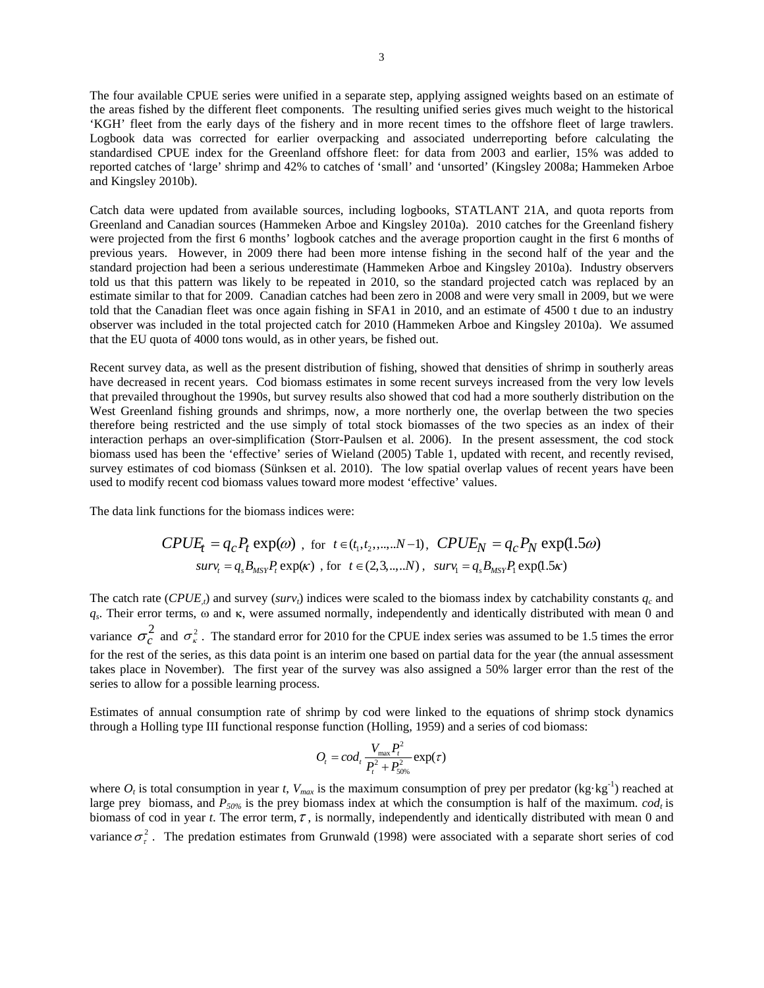The four available CPUE series were unified in a separate step, applying assigned weights based on an estimate of the areas fished by the different fleet components. The resulting unified series gives much weight to the historical 'KGH' fleet from the early days of the fishery and in more recent times to the offshore fleet of large trawlers. Logbook data was corrected for earlier overpacking and associated underreporting before calculating the standardised CPUE index for the Greenland offshore fleet: for data from 2003 and earlier, 15% was added to reported catches of 'large' shrimp and 42% to catches of 'small' and 'unsorted' (Kingsley 2008a; Hammeken Arboe and Kingsley 2010b).

Catch data were updated from available sources, including logbooks, STATLANT 21A, and quota reports from Greenland and Canadian sources (Hammeken Arboe and Kingsley 2010a). 2010 catches for the Greenland fishery were projected from the first 6 months' logbook catches and the average proportion caught in the first 6 months of previous years. However, in 2009 there had been more intense fishing in the second half of the year and the standard projection had been a serious underestimate (Hammeken Arboe and Kingsley 2010a). Industry observers told us that this pattern was likely to be repeated in 2010, so the standard projected catch was replaced by an estimate similar to that for 2009. Canadian catches had been zero in 2008 and were very small in 2009, but we were told that the Canadian fleet was once again fishing in SFA1 in 2010, and an estimate of 4500 t due to an industry observer was included in the total projected catch for 2010 (Hammeken Arboe and Kingsley 2010a). We assumed that the EU quota of 4000 tons would, as in other years, be fished out.

Recent survey data, as well as the present distribution of fishing, showed that densities of shrimp in southerly areas have decreased in recent years. Cod biomass estimates in some recent surveys increased from the very low levels that prevailed throughout the 1990s, but survey results also showed that cod had a more southerly distribution on the West Greenland fishing grounds and shrimps, now, a more northerly one, the overlap between the two species therefore being restricted and the use simply of total stock biomasses of the two species as an index of their interaction perhaps an over-simplification (Storr-Paulsen et al. 2006). In the present assessment, the cod stock biomass used has been the 'effective' series of Wieland (2005) Table 1, updated with recent, and recently revised, survey estimates of cod biomass (Sünksen et al. 2010). The low spatial overlap values of recent years have been used to modify recent cod biomass values toward more modest 'effective' values.

The data link functions for the biomass indices were:

$$
CPUE_t = q_c P_t \exp(\omega) \text{ , for } t \in (t_1, t_2, \dots, N-1), \text{ } CPUE_N = q_c P_N \exp(1.5\omega)
$$
  

$$
surv_t = q_s B_{MST} P_t \exp(\kappa) \text{ , for } t \in (2, 3, \dots, N), \text{ } surv_t = q_s B_{MST} P_t \exp(1.5\kappa)
$$

The catch rate  $(CPUE<sub>t</sub>)$  and survey (*surv<sub>t</sub>*) indices were scaled to the biomass index by catchability constants  $q_c$  and *qs*. Their error terms, ω and κ, were assumed normally, independently and identically distributed with mean 0 and variance  $\sigma_c^2$  and  $\sigma_{\kappa}^2$ . The standard error for 2010 for the CPUE index series was assumed to be 1.5 times the error for the rest of the series, as this data point is an interim one based on partial data for the year (the annual assessment takes place in November). The first year of the survey was also assigned a 50% larger error than the rest of the series to allow for a possible learning process.

Estimates of annual consumption rate of shrimp by cod were linked to the equations of shrimp stock dynamics through a Holling type III functional response function (Holling, 1959) and a series of cod biomass:

$$
O_t = cod_t \frac{V_{\text{max}} P_t^2}{P_t^2 + P_{50\%}^2} \exp(\tau)
$$

where  $O_t$  is total consumption in year *t*,  $V_{max}$  is the maximum consumption of prey per predator (kg·kg<sup>-1</sup>) reached at large prey biomass, and  $P_{50\%}$  is the prey biomass index at which the consumption is half of the maximum. *cod<sub>t</sub>* is biomass of cod in year *t*. The error term,  $\tau$ , is normally, independently and identically distributed with mean 0 and variance  $\sigma_r^2$ . The predation estimates from Grunwald (1998) were associated with a separate short series of cod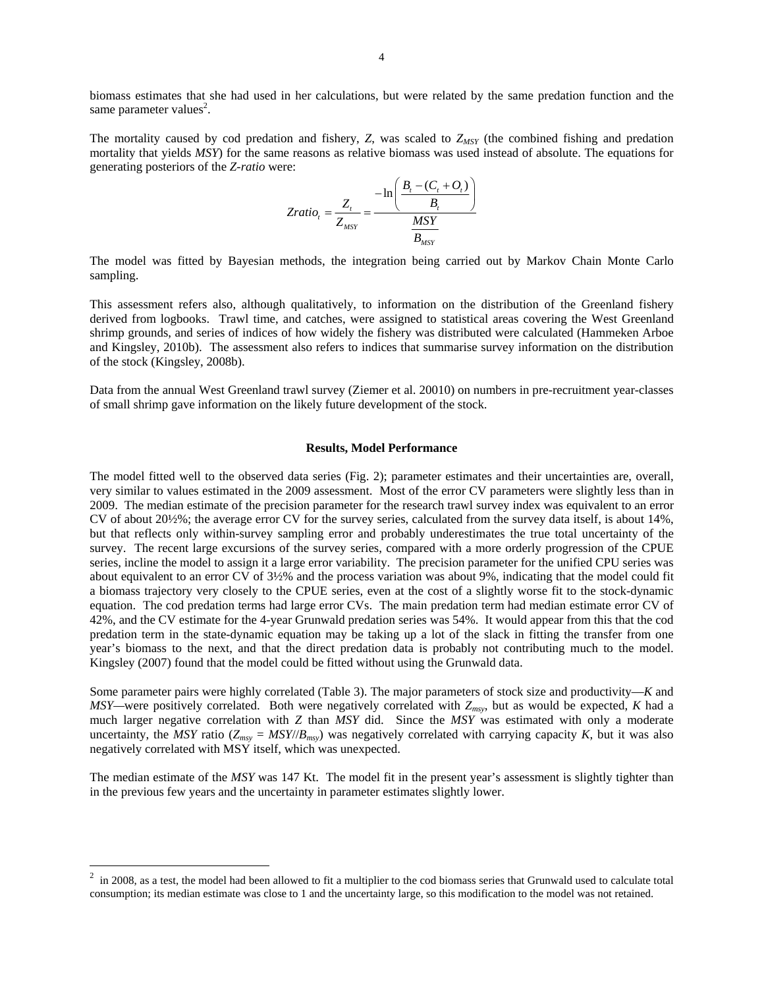biomass estimates that she had used in her calculations, but were related by the same predation function and the same parameter values<sup>2</sup>.

The mortality caused by cod predation and fishery,  $Z$ , was scaled to  $Z_{MSY}$  (the combined fishing and predation mortality that yields *MSY*) for the same reasons as relative biomass was used instead of absolute. The equations for generating posteriors of the *Z-ratio* were:

$$
Zratio_t = \frac{Z_t}{Z_{MSY}} = \frac{-\ln\left(\frac{B_t - (C_t + O_t)}{B_t}\right)}{\frac{MSY}{B_{MSY}}}
$$

The model was fitted by Bayesian methods, the integration being carried out by Markov Chain Monte Carlo sampling.

This assessment refers also, although qualitatively, to information on the distribution of the Greenland fishery derived from logbooks. Trawl time, and catches, were assigned to statistical areas covering the West Greenland shrimp grounds, and series of indices of how widely the fishery was distributed were calculated (Hammeken Arboe and Kingsley, 2010b). The assessment also refers to indices that summarise survey information on the distribution of the stock (Kingsley, 2008b).

Data from the annual West Greenland trawl survey (Ziemer et al. 20010) on numbers in pre-recruitment year-classes of small shrimp gave information on the likely future development of the stock.

#### **Results, Model Performance**

The model fitted well to the observed data series (Fig. 2); parameter estimates and their uncertainties are, overall, very similar to values estimated in the 2009 assessment. Most of the error CV parameters were slightly less than in 2009. The median estimate of the precision parameter for the research trawl survey index was equivalent to an error CV of about 20½%; the average error CV for the survey series, calculated from the survey data itself, is about 14%, but that reflects only within-survey sampling error and probably underestimates the true total uncertainty of the survey. The recent large excursions of the survey series, compared with a more orderly progression of the CPUE series, incline the model to assign it a large error variability. The precision parameter for the unified CPU series was about equivalent to an error CV of 3½% and the process variation was about 9%, indicating that the model could fit a biomass trajectory very closely to the CPUE series, even at the cost of a slightly worse fit to the stock-dynamic equation. The cod predation terms had large error CVs. The main predation term had median estimate error CV of 42%, and the CV estimate for the 4-year Grunwald predation series was 54%. It would appear from this that the cod predation term in the state-dynamic equation may be taking up a lot of the slack in fitting the transfer from one year's biomass to the next, and that the direct predation data is probably not contributing much to the model. Kingsley (2007) found that the model could be fitted without using the Grunwald data.

Some parameter pairs were highly correlated (Table 3). The major parameters of stock size and productivity—*K* and *MSY—*were positively correlated. Both were negatively correlated with *Zmsy*, but as would be expected, *K* had a much larger negative correlation with *Z* than *MSY* did. Since the *MSY* was estimated with only a moderate uncertainty, the *MSY* ratio ( $Z_{msy} = MSY/(B_{msy})$  was negatively correlated with carrying capacity *K*, but it was also negatively correlated with MSY itself, which was unexpected.

The median estimate of the *MSY* was 147 Kt. The model fit in the present year's assessment is slightly tighter than in the previous few years and the uncertainty in parameter estimates slightly lower.

 $\overline{a}$ 

 $2 \text{ in 2008, as a test, the model had been allowed to fit a multiplier to the cod biomass series that Grunwald used to calculate total.}$ consumption; its median estimate was close to 1 and the uncertainty large, so this modification to the model was not retained.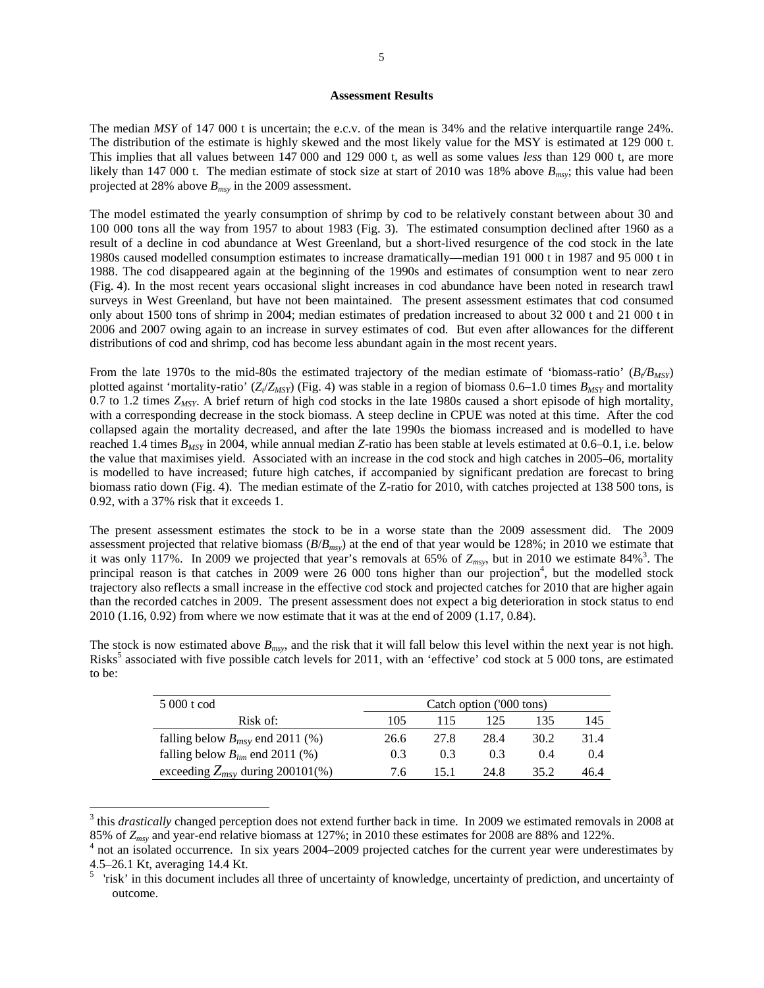#### **Assessment Results**

The median *MSY* of 147 000 t is uncertain; the e.c.v. of the mean is 34% and the relative interquartile range 24%. The distribution of the estimate is highly skewed and the most likely value for the MSY is estimated at 129 000 t. This implies that all values between 147 000 and 129 000 t, as well as some values *less* than 129 000 t, are more likely than 147 000 t. The median estimate of stock size at start of 2010 was 18% above  $B_{msv}$ ; this value had been projected at 28% above *Bmsy* in the 2009 assessment.

The model estimated the yearly consumption of shrimp by cod to be relatively constant between about 30 and 100 000 tons all the way from 1957 to about 1983 (Fig. 3). The estimated consumption declined after 1960 as a result of a decline in cod abundance at West Greenland, but a short-lived resurgence of the cod stock in the late 1980s caused modelled consumption estimates to increase dramatically—median 191 000 t in 1987 and 95 000 t in 1988. The cod disappeared again at the beginning of the 1990s and estimates of consumption went to near zero (Fig. 4). In the most recent years occasional slight increases in cod abundance have been noted in research trawl surveys in West Greenland, but have not been maintained. The present assessment estimates that cod consumed only about 1500 tons of shrimp in 2004; median estimates of predation increased to about 32 000 t and 21 000 t in 2006 and 2007 owing again to an increase in survey estimates of cod. But even after allowances for the different distributions of cod and shrimp, cod has become less abundant again in the most recent years.

From the late 1970s to the mid-80s the estimated trajectory of the median estimate of 'biomass-ratio'  $(B/B_{MSP})$ plotted against 'mortality-ratio'  $(Z_{\ell}/Z_{\text{MSP}})$  (Fig. 4) was stable in a region of biomass 0.6–1.0 times  $B_{\text{MSP}}$  and mortality 0.7 to 1.2 times *ZMSY*. A brief return of high cod stocks in the late 1980s caused a short episode of high mortality, with a corresponding decrease in the stock biomass. A steep decline in CPUE was noted at this time. After the cod collapsed again the mortality decreased, and after the late 1990s the biomass increased and is modelled to have reached 1.4 times  $B_{MSY}$  in 2004, while annual median *Z*-ratio has been stable at levels estimated at 0.6–0.1, i.e. below the value that maximises yield. Associated with an increase in the cod stock and high catches in 2005–06, mortality is modelled to have increased; future high catches, if accompanied by significant predation are forecast to bring biomass ratio down (Fig. 4). The median estimate of the Z-ratio for 2010, with catches projected at 138 500 tons, is 0.92, with a 37% risk that it exceeds 1.

The present assessment estimates the stock to be in a worse state than the 2009 assessment did. The 2009 assessment projected that relative biomass (*B*/*Bmsy*) at the end of that year would be 128%; in 2010 we estimate that it was only 117%. In 2009 we projected that year's removals at 65% of  $Z_{msv}$ , but in 2010 we estimate 84%<sup>3</sup>. The principal reason is that catches in 2009 were 26 000 tons higher than our projection<sup>4</sup>, but the modelled stock trajectory also reflects a small increase in the effective cod stock and projected catches for 2010 that are higher again than the recorded catches in 2009. The present assessment does not expect a big deterioration in stock status to end 2010 (1.16, 0.92) from where we now estimate that it was at the end of 2009 (1.17, 0.84).

The stock is now estimated above *Bmsy*, and the risk that it will fall below this level within the next year is not high. Risks<sup>5</sup> associated with five possible catch levels for 2011, with an 'effective' cod stock at 5 000 tons, are estimated to be:

| 5 000 t cod                          | Catch option ('000 tons) |      |      |       |       |  |
|--------------------------------------|--------------------------|------|------|-------|-------|--|
| Risk of:                             | 105                      | 115. | 125  | 135   | 145   |  |
| falling below $B_{msv}$ end 2011 (%) | 26.6                     | 27.8 | 28.4 | 30.2  | 31.4  |  |
| falling below $B_{lim}$ end 2011 (%) | 0.3                      | 0.3  | 0.3  | (0.4) | (0.4) |  |
| exceeding $Z_{msv}$ during 200101(%) | 76                       | 151  | 24.8 | 35.2  | 46.4  |  |

<sup>&</sup>lt;sup>3</sup> this *drastically* changed perception does not extend further back in time. In 2009 we estimated removals in 2008 at 85% of *Zmsy* and year-end relative biomass at 127%; in 2010 these estimates for 2008 are 88% and 122%. 4

 $\overline{a}$ 

<sup>&</sup>lt;sup>4</sup> not an isolated occurrence. In six years 2004–2009 projected catches for the current year were underestimates by 4.5–26.1 Kt, averaging 14.4 Kt.

<sup>&</sup>lt;sup>5</sup> 'risk' in this document includes all three of uncertainty of knowledge, uncertainty of prediction, and uncertainty of outcome.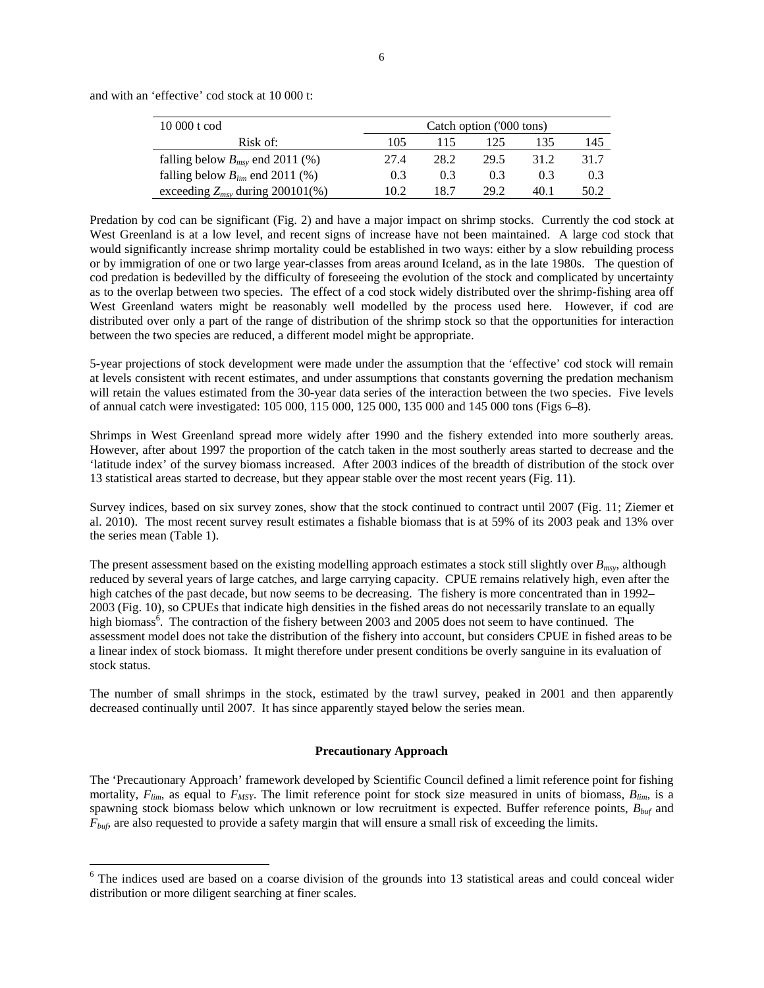| 10 000 t cod                         | Catch option ('000 tons) |      |      |      |      |  |
|--------------------------------------|--------------------------|------|------|------|------|--|
| Risk of:                             | 105                      | 115  | 125  | 135  | 145  |  |
| falling below $B_{msv}$ end 2011 (%) | 27.4                     | 28.2 | 29.5 | 312  | 31.7 |  |
| falling below $B_{lim}$ end 2011 (%) | 0.3                      | 0.3  | 0.3  | 0.3  | 0.3  |  |
| exceeding $Z_{msy}$ during 200101(%) | 10.2                     | 18.7 | 29.2 | 40.1 | 50.2 |  |

and with an 'effective' cod stock at 10 000 t:

 $\overline{a}$ 

Predation by cod can be significant (Fig. 2) and have a major impact on shrimp stocks. Currently the cod stock at West Greenland is at a low level, and recent signs of increase have not been maintained. A large cod stock that would significantly increase shrimp mortality could be established in two ways: either by a slow rebuilding process or by immigration of one or two large year-classes from areas around Iceland, as in the late 1980s. The question of cod predation is bedevilled by the difficulty of foreseeing the evolution of the stock and complicated by uncertainty as to the overlap between two species. The effect of a cod stock widely distributed over the shrimp-fishing area off West Greenland waters might be reasonably well modelled by the process used here. However, if cod are distributed over only a part of the range of distribution of the shrimp stock so that the opportunities for interaction between the two species are reduced, a different model might be appropriate.

5-year projections of stock development were made under the assumption that the 'effective' cod stock will remain at levels consistent with recent estimates, and under assumptions that constants governing the predation mechanism will retain the values estimated from the 30-year data series of the interaction between the two species. Five levels of annual catch were investigated: 105 000, 115 000, 125 000, 135 000 and 145 000 tons (Figs 6–8).

Shrimps in West Greenland spread more widely after 1990 and the fishery extended into more southerly areas. However, after about 1997 the proportion of the catch taken in the most southerly areas started to decrease and the 'latitude index' of the survey biomass increased. After 2003 indices of the breadth of distribution of the stock over 13 statistical areas started to decrease, but they appear stable over the most recent years (Fig. 11).

Survey indices, based on six survey zones, show that the stock continued to contract until 2007 (Fig. 11; Ziemer et al. 2010). The most recent survey result estimates a fishable biomass that is at 59% of its 2003 peak and 13% over the series mean (Table 1).

The present assessment based on the existing modelling approach estimates a stock still slightly over *Bmsy*, although reduced by several years of large catches, and large carrying capacity. CPUE remains relatively high, even after the high catches of the past decade, but now seems to be decreasing. The fishery is more concentrated than in 1992– 2003 (Fig. 10), so CPUEs that indicate high densities in the fished areas do not necessarily translate to an equally high biomass<sup>6</sup>. The contraction of the fishery between 2003 and 2005 does not seem to have continued. The assessment model does not take the distribution of the fishery into account, but considers CPUE in fished areas to be a linear index of stock biomass. It might therefore under present conditions be overly sanguine in its evaluation of stock status.

The number of small shrimps in the stock, estimated by the trawl survey, peaked in 2001 and then apparently decreased continually until 2007. It has since apparently stayed below the series mean.

#### **Precautionary Approach**

The 'Precautionary Approach' framework developed by Scientific Council defined a limit reference point for fishing mortality,  $F_{lim}$ , as equal to  $F_{MSY}$ . The limit reference point for stock size measured in units of biomass,  $B_{lim}$ , is a spawning stock biomass below which unknown or low recruitment is expected. Buffer reference points, *Bbuf* and *Fbuf*, are also requested to provide a safety margin that will ensure a small risk of exceeding the limits.

<sup>&</sup>lt;sup>6</sup> The indices used are based on a coarse division of the grounds into 13 statistical areas and could conceal wider distribution or more diligent searching at finer scales.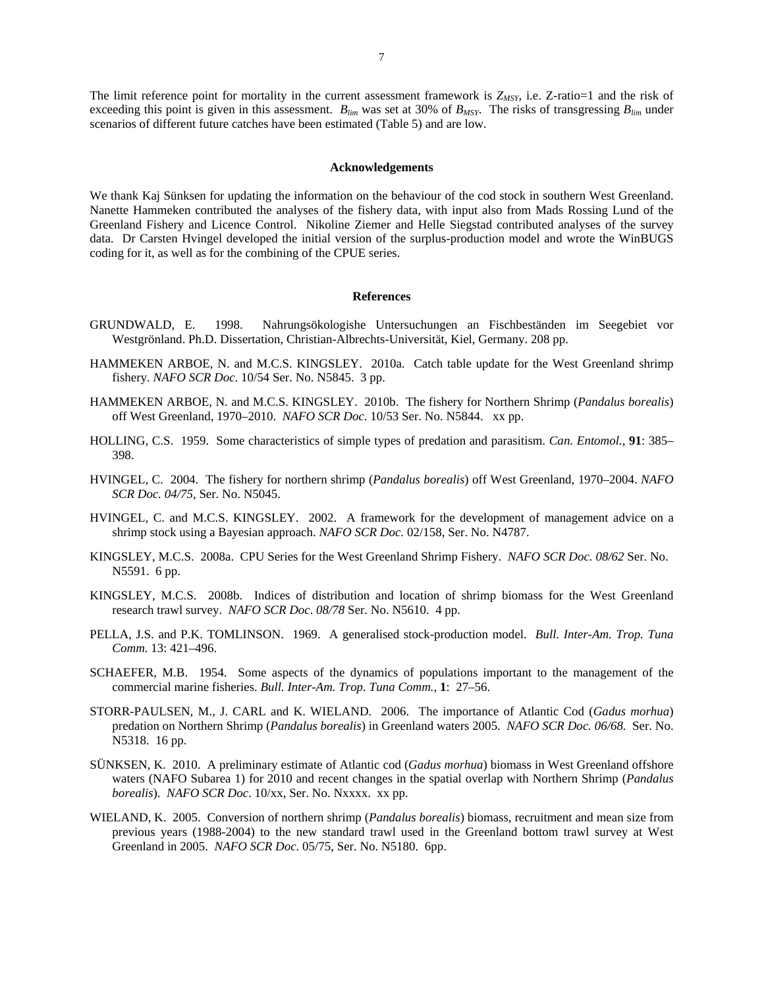The limit reference point for mortality in the current assessment framework is  $Z_{MSY}$ , i.e.  $Z$ -ratio=1 and the risk of exceeding this point is given in this assessment.  $B_{lim}$  was set at 30% of  $B_{MSY}$ . The risks of transgressing  $B_{lim}$  under scenarios of different future catches have been estimated (Table 5) and are low.

#### **Acknowledgements**

We thank Kaj Sünksen for updating the information on the behaviour of the cod stock in southern West Greenland. Nanette Hammeken contributed the analyses of the fishery data, with input also from Mads Rossing Lund of the Greenland Fishery and Licence Control. Nikoline Ziemer and Helle Siegstad contributed analyses of the survey data. Dr Carsten Hvingel developed the initial version of the surplus-production model and wrote the WinBUGS coding for it, as well as for the combining of the CPUE series.

### **References**

- GRUNDWALD, E. 1998. Nahrungsökologishe Untersuchungen an Fischbeständen im Seegebiet vor Westgrönland. Ph.D. Dissertation, Christian-Albrechts-Universität, Kiel, Germany. 208 pp.
- HAMMEKEN ARBOE, N. and M.C.S. KINGSLEY. 2010a. Catch table update for the West Greenland shrimp fishery. *NAFO SCR Doc*. 10/54 Ser. No. N5845. 3 pp.
- HAMMEKEN ARBOE, N. and M.C.S. KINGSLEY. 2010b. The fishery for Northern Shrimp (*Pandalus borealis*) off West Greenland, 1970–2010. *NAFO SCR Doc*. 10/53 Ser. No. N5844. xx pp.
- HOLLING, C.S. 1959. Some characteristics of simple types of predation and parasitism. *Can. Entomol.*, **91**: 385– 398.
- HVINGEL, C. 2004. The fishery for northern shrimp (*Pandalus borealis*) off West Greenland, 1970–2004. *NAFO SCR Doc. 04/75*, Ser. No. N5045.
- HVINGEL, C. and M.C.S. KINGSLEY. 2002. A framework for the development of management advice on a shrimp stock using a Bayesian approach. *NAFO SCR Doc.* 02/158, Ser. No. N4787.
- KINGSLEY, M.C.S. 2008a. CPU Series for the West Greenland Shrimp Fishery. *NAFO SCR Doc. 08/62* Ser. No. N5591. 6 pp.
- KINGSLEY, M.C.S. 2008b. Indices of distribution and location of shrimp biomass for the West Greenland research trawl survey. *NAFO SCR Doc*. *08/78* Ser. No. N5610. 4 pp.
- PELLA, J.S. and P.K. TOMLINSON. 1969. A generalised stock-production model. *Bull. Inter-Am. Trop. Tuna Comm.* 13: 421–496.
- SCHAEFER, M.B. 1954. Some aspects of the dynamics of populations important to the management of the commercial marine fisheries. *Bull. Inter-Am. Trop. Tuna Comm.*, **1**: 27–56.
- STORR-PAULSEN, M., J. CARL and K. WIELAND. 2006. The importance of Atlantic Cod (*Gadus morhua*) predation on Northern Shrimp (*Pandalus borealis*) in Greenland waters 2005. *NAFO SCR Doc. 06/68.* Ser. No. N5318. 16 pp.
- SÜNKSEN, K. 2010. A preliminary estimate of Atlantic cod (*Gadus morhua*) biomass in West Greenland offshore waters (NAFO Subarea 1) for 2010 and recent changes in the spatial overlap with Northern Shrimp (*Pandalus borealis*). *NAFO SCR Doc*. 10/xx, Ser. No. Nxxxx. xx pp.
- WIELAND, K. 2005. Conversion of northern shrimp (*Pandalus borealis*) biomass, recruitment and mean size from previous years (1988-2004) to the new standard trawl used in the Greenland bottom trawl survey at West Greenland in 2005. *NAFO SCR Doc.* 05/75, Ser. No. N5180. 6pp.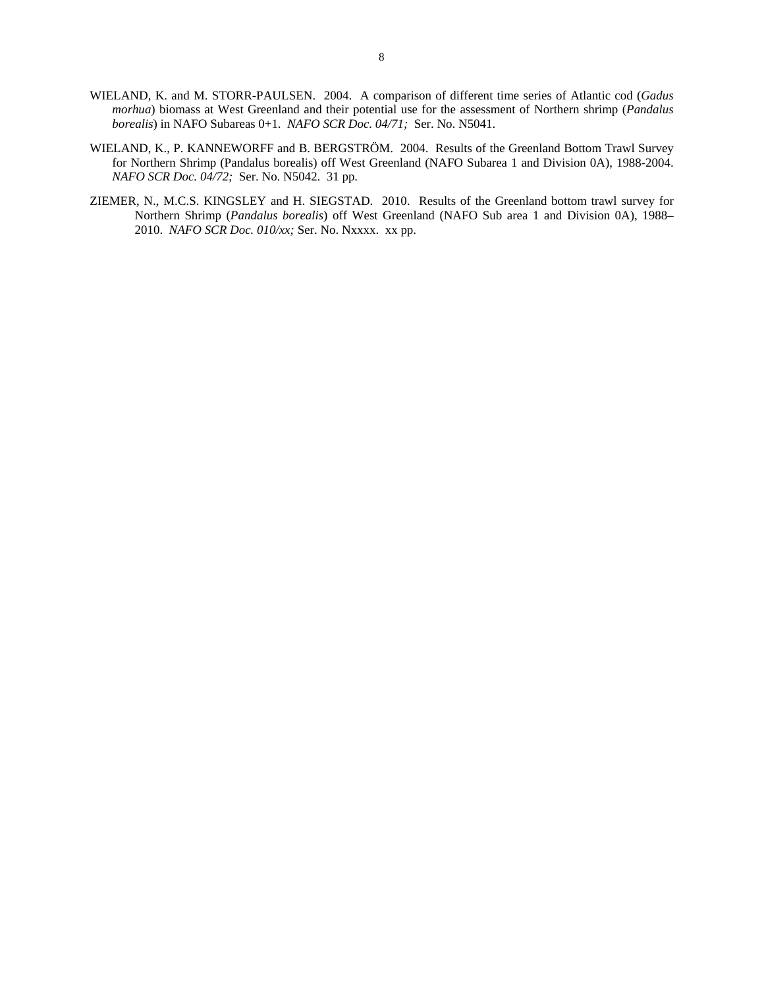- WIELAND, K. and M. STORR-PAULSEN. 2004. A comparison of different time series of Atlantic cod (*Gadus morhua*) biomass at West Greenland and their potential use for the assessment of Northern shrimp (*Pandalus borealis*) in NAFO Subareas 0+1. *NAFO SCR Doc. 04/71;* Ser. No. N5041.
- WIELAND, K., P. KANNEWORFF and B. BERGSTRÖM. 2004. Results of the Greenland Bottom Trawl Survey for Northern Shrimp (Pandalus borealis) off West Greenland (NAFO Subarea 1 and Division 0A), 1988-2004. *NAFO SCR Doc. 04/72;* Ser. No. N5042. 31 pp.
- ZIEMER, N., M.C.S. KINGSLEY and H. SIEGSTAD. 2010. Results of the Greenland bottom trawl survey for Northern Shrimp (*Pandalus borealis*) off West Greenland (NAFO Sub area 1 and Division 0A), 1988– 2010. *NAFO SCR Doc. 010/xx;* Ser. No. Nxxxx. xx pp.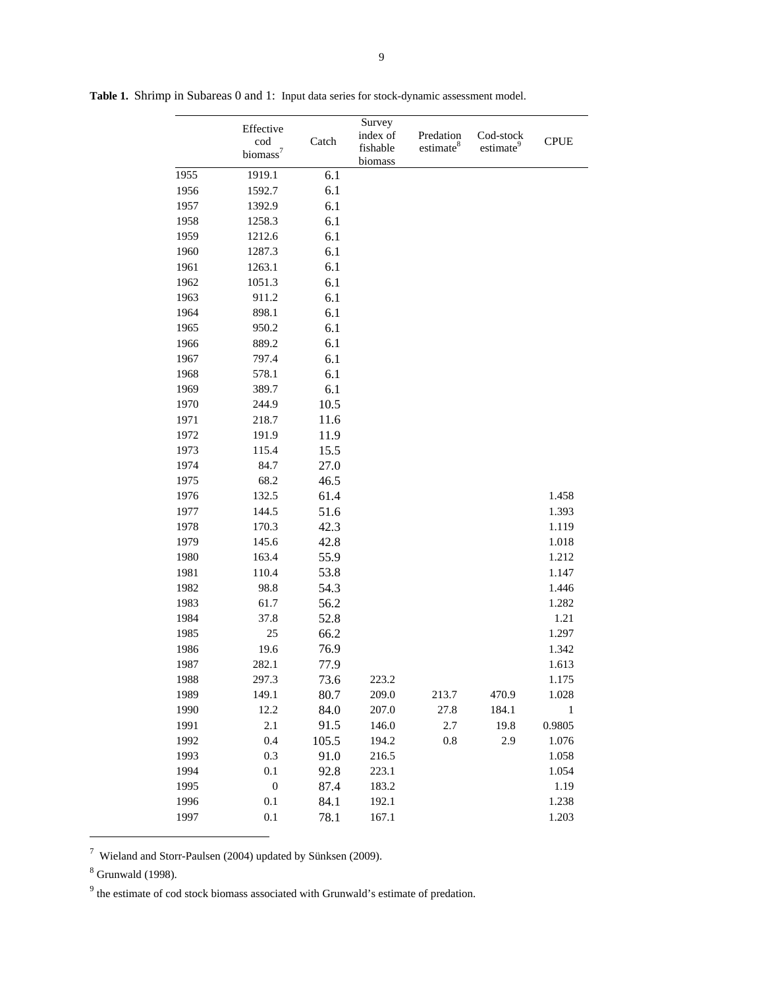|      | Effective<br>cod<br>biomass <sup>7</sup> | Catch | Survey<br>index of<br>fishable<br>biomass | Predation<br>estimate <sup>8</sup> | Cod-stock<br>estimate <sup>9</sup> | <b>CPUE</b> |
|------|------------------------------------------|-------|-------------------------------------------|------------------------------------|------------------------------------|-------------|
| 1955 | 1919.1                                   | 6.1   |                                           |                                    |                                    |             |
| 1956 | 1592.7                                   | 6.1   |                                           |                                    |                                    |             |
| 1957 | 1392.9                                   | 6.1   |                                           |                                    |                                    |             |
| 1958 | 1258.3                                   | 6.1   |                                           |                                    |                                    |             |
| 1959 | 1212.6                                   | 6.1   |                                           |                                    |                                    |             |
| 1960 | 1287.3                                   | 6.1   |                                           |                                    |                                    |             |
| 1961 | 1263.1                                   | 6.1   |                                           |                                    |                                    |             |
| 1962 | 1051.3                                   | 6.1   |                                           |                                    |                                    |             |
| 1963 | 911.2                                    | 6.1   |                                           |                                    |                                    |             |
| 1964 | 898.1                                    | 6.1   |                                           |                                    |                                    |             |
| 1965 | 950.2                                    | 6.1   |                                           |                                    |                                    |             |
| 1966 | 889.2                                    | 6.1   |                                           |                                    |                                    |             |
| 1967 | 797.4                                    | 6.1   |                                           |                                    |                                    |             |
| 1968 | 578.1                                    | 6.1   |                                           |                                    |                                    |             |
| 1969 | 389.7                                    | 6.1   |                                           |                                    |                                    |             |
| 1970 | 244.9                                    | 10.5  |                                           |                                    |                                    |             |
| 1971 | 218.7                                    | 11.6  |                                           |                                    |                                    |             |
| 1972 | 191.9                                    | 11.9  |                                           |                                    |                                    |             |
| 1973 | 115.4                                    | 15.5  |                                           |                                    |                                    |             |
| 1974 | 84.7                                     | 27.0  |                                           |                                    |                                    |             |
| 1975 | 68.2                                     | 46.5  |                                           |                                    |                                    |             |
| 1976 | 132.5                                    | 61.4  |                                           |                                    |                                    | 1.458       |
| 1977 | 144.5                                    | 51.6  |                                           |                                    |                                    | 1.393       |
| 1978 | 170.3                                    | 42.3  |                                           |                                    |                                    | 1.119       |
| 1979 | 145.6                                    | 42.8  |                                           |                                    |                                    | 1.018       |
| 1980 | 163.4                                    | 55.9  |                                           |                                    |                                    | 1.212       |
| 1981 | 110.4                                    | 53.8  |                                           |                                    |                                    | 1.147       |
| 1982 | 98.8                                     | 54.3  |                                           |                                    |                                    | 1.446       |
| 1983 | 61.7                                     | 56.2  |                                           |                                    |                                    | 1.282       |
| 1984 | 37.8                                     | 52.8  |                                           |                                    |                                    | 1.21        |
| 1985 | 25                                       | 66.2  |                                           |                                    |                                    | 1.297       |
| 1986 | 19.6                                     | 76.9  |                                           |                                    |                                    | 1.342       |
| 1987 | 282.1                                    | 77.9  |                                           |                                    |                                    | 1.613       |
| 1988 | 297.3                                    | 73.6  | 223.2                                     |                                    |                                    | 1.175       |
| 1989 | 149.1                                    | 80.7  | 209.0                                     | 213.7                              | 470.9                              | 1.028       |
| 1990 | 12.2                                     | 84.0  | 207.0                                     | 27.8                               | 184.1                              | 1           |
| 1991 | 2.1                                      | 91.5  | 146.0                                     | 2.7                                | 19.8                               | 0.9805      |
| 1992 | 0.4                                      | 105.5 | 194.2                                     | 0.8                                | 2.9                                | 1.076       |
| 1993 | 0.3                                      | 91.0  | 216.5                                     |                                    |                                    | 1.058       |
| 1994 | 0.1                                      | 92.8  | 223.1                                     |                                    |                                    | 1.054       |
| 1995 | $\boldsymbol{0}$                         | 87.4  | 183.2                                     |                                    |                                    | 1.19        |
| 1996 | 0.1                                      | 84.1  | 192.1                                     |                                    |                                    | 1.238       |
| 1997 | $0.1\,$                                  | 78.1  | 167.1                                     |                                    |                                    | 1.203       |

**Table 1.** Shrimp in Subareas 0 and 1: Input data series for stock-dynamic assessment model.

 $^7$  Wieland and Storr-Paulsen (2004) updated by Sünksen (2009).

<sup>8</sup> Grunwald (1998).

 $\overline{a}$ 

 $9<sup>9</sup>$  the estimate of cod stock biomass associated with Grunwald's estimate of predation.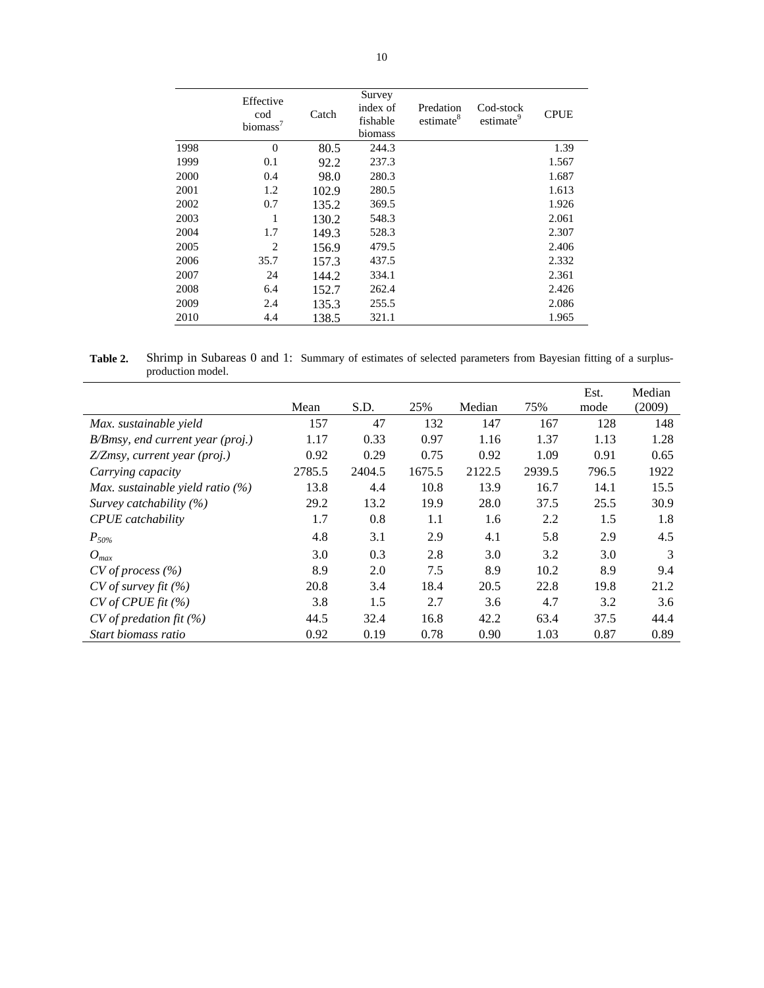|      | Effective<br>cod<br>biomass <sup>7</sup> | Catch | Survey<br>index of<br>fishable<br>biomass | Predation<br>estimate <sup>8</sup> | Cod-stock<br>estimate <sup>9</sup> | <b>CPUE</b> |
|------|------------------------------------------|-------|-------------------------------------------|------------------------------------|------------------------------------|-------------|
| 1998 | $\overline{0}$                           | 80.5  | 244.3                                     |                                    |                                    | 1.39        |
| 1999 | 0.1                                      | 92.2  | 237.3                                     |                                    |                                    | 1.567       |
| 2000 | 0.4                                      | 98.0  | 280.3                                     |                                    |                                    | 1.687       |
| 2001 | 1.2                                      | 102.9 | 280.5                                     |                                    |                                    | 1.613       |
| 2002 | 0.7                                      | 135.2 | 369.5                                     |                                    |                                    | 1.926       |
| 2003 | 1                                        | 130.2 | 548.3                                     |                                    |                                    | 2.061       |
| 2004 | 1.7                                      | 149.3 | 528.3                                     |                                    |                                    | 2.307       |
| 2005 | 2                                        | 156.9 | 479.5                                     |                                    |                                    | 2.406       |
| 2006 | 35.7                                     | 157.3 | 437.5                                     |                                    |                                    | 2.332       |
| 2007 | 24                                       | 144.2 | 334.1                                     |                                    |                                    | 2.361       |
| 2008 | 6.4                                      | 152.7 | 262.4                                     |                                    |                                    | 2.426       |
| 2009 | 2.4                                      | 135.3 | 255.5                                     |                                    |                                    | 2.086       |
| 2010 | 4.4                                      | 138.5 | 321.1                                     |                                    |                                    | 1.965       |

Table 2. Shrimp in Subareas 0 and 1: Summary of estimates of selected parameters from Bayesian fitting of a surplusproduction model.

|                                     | Mean   | S.D.   | 25%    | Median | 75%    | Est.<br>mode | Median<br>(2009) |
|-------------------------------------|--------|--------|--------|--------|--------|--------------|------------------|
| Max. sustainable yield              | 157    | 47     | 132    | 147    | 167    | 128          | 148              |
| B/Bmsy, end current year (proj.)    | 1.17   | 0.33   | 0.97   | 1.16   | 1.37   | 1.13         | 1.28             |
| Z/Zmsy, current year (proj.)        | 0.92   | 0.29   | 0.75   | 0.92   | 1.09   | 0.91         | 0.65             |
| Carrying capacity                   | 2785.5 | 2404.5 | 1675.5 | 2122.5 | 2939.5 | 796.5        | 1922             |
| Max. sustainable yield ratio $(\%)$ | 13.8   | 4.4    | 10.8   | 13.9   | 16.7   | 14.1         | 15.5             |
| Survey catchability $(\%)$          | 29.2   | 13.2   | 19.9   | 28.0   | 37.5   | 25.5         | 30.9             |
| <b>CPUE</b> catchability            | 1.7    | 0.8    | 1.1    | 1.6    | 2.2    | 1.5          | 1.8              |
| $P_{50\%}$                          | 4.8    | 3.1    | 2.9    | 4.1    | 5.8    | 2.9          | 4.5              |
| $O_{max}$                           | 3.0    | 0.3    | 2.8    | 3.0    | 3.2    | 3.0          | 3                |
| $CV$ of process $(\% )$             | 8.9    | 2.0    | 7.5    | 8.9    | 10.2   | 8.9          | 9.4              |
| $CV$ of survey fit $(\% )$          | 20.8   | 3.4    | 18.4   | 20.5   | 22.8   | 19.8         | 21.2             |
| $CV$ of CPUE fit $(\% )$            | 3.8    | 1.5    | 2.7    | 3.6    | 4.7    | 3.2          | 3.6              |
| $CV$ of predation fit $(\%)$        | 44.5   | 32.4   | 16.8   | 42.2   | 63.4   | 37.5         | 44.4             |
| Start biomass ratio                 | 0.92   | 0.19   | 0.78   | 0.90   | 1.03   | 0.87         | 0.89             |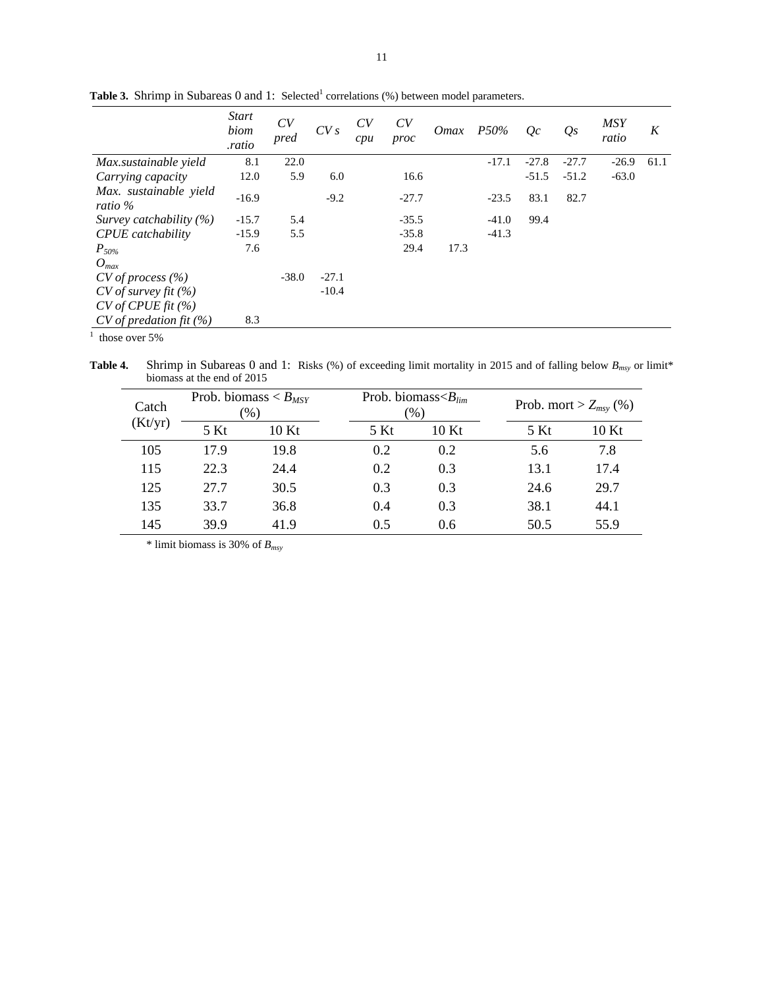| <b>Start</b><br>biom<br>.ratio | CV<br>pred | CVs     | CV<br>cpu | CV<br>proc | <i>Omax</i> | $P50\%$ | Qc      | $Q_{S}$ | <b>MSY</b><br>ratio | K    |
|--------------------------------|------------|---------|-----------|------------|-------------|---------|---------|---------|---------------------|------|
| 8.1                            | 22.0       |         |           |            |             | $-17.1$ | $-27.8$ | $-27.7$ | $-26.9$             | 61.1 |
| 12.0                           | 5.9        | 6.0     |           | 16.6       |             |         | $-51.5$ | $-51.2$ | $-63.0$             |      |
| $-16.9$                        |            | $-9.2$  |           | $-27.7$    |             | $-23.5$ | 83.1    | 82.7    |                     |      |
| $-15.7$                        | 5.4        |         |           | $-35.5$    |             | $-41.0$ | 99.4    |         |                     |      |
| $-15.9$                        | 5.5        |         |           | $-35.8$    |             | $-41.3$ |         |         |                     |      |
| 7.6                            |            |         |           | 29.4       | 17.3        |         |         |         |                     |      |
|                                |            |         |           |            |             |         |         |         |                     |      |
|                                | $-38.0$    | $-27.1$ |           |            |             |         |         |         |                     |      |
|                                |            | $-10.4$ |           |            |             |         |         |         |                     |      |
|                                |            |         |           |            |             |         |         |         |                     |      |
| 8.3                            |            |         |           |            |             |         |         |         |                     |      |
|                                |            |         |           |            |             |         |         |         |                     |      |

**Table 3.** Shrimp in Subareas 0 and 1: Selected<sup>1</sup> correlations  $(\%)$  between model parameters.

 $<sup>1</sup>$  those over 5%</sup>

**Table 4.** Shrimp in Subareas 0 and 1: Risks (%) of exceeding limit mortality in 2015 and of falling below  $B_{msy}$  or limit\* biomass at the end of 2015

| Catch   |      | Prob. biomass $\lt B_{MSY}$<br>$\mathcal{O}(6)$ |  | Prob. biomass $\langle B_{lim}$<br>(96) |      |  | Prob. mort > $Z_{msv}$ (%) |       |  |
|---------|------|-------------------------------------------------|--|-----------------------------------------|------|--|----------------------------|-------|--|
| (Kt/yr) | 5 Kt | 10Kt                                            |  | 5 Kt                                    | 10Kt |  | 5 Kt                       | 10 Kt |  |
| 105     | 17.9 | 19.8                                            |  | 0.2                                     | 0.2  |  | 5.6                        | 7.8   |  |
| 115     | 22.3 | 24.4                                            |  | 0.2                                     | 0.3  |  | 13.1                       | 17.4  |  |
| 125     | 27.7 | 30.5                                            |  | 0.3                                     | 0.3  |  | 24.6                       | 29.7  |  |
| 135     | 33.7 | 36.8                                            |  | 0.4                                     | 0.3  |  | 38.1                       | 44.1  |  |
| 145     | 39.9 | 41.9                                            |  | 0.5                                     | 0.6  |  | 50.5                       | 55.9  |  |

\* limit biomass is 30% of *Bmsy*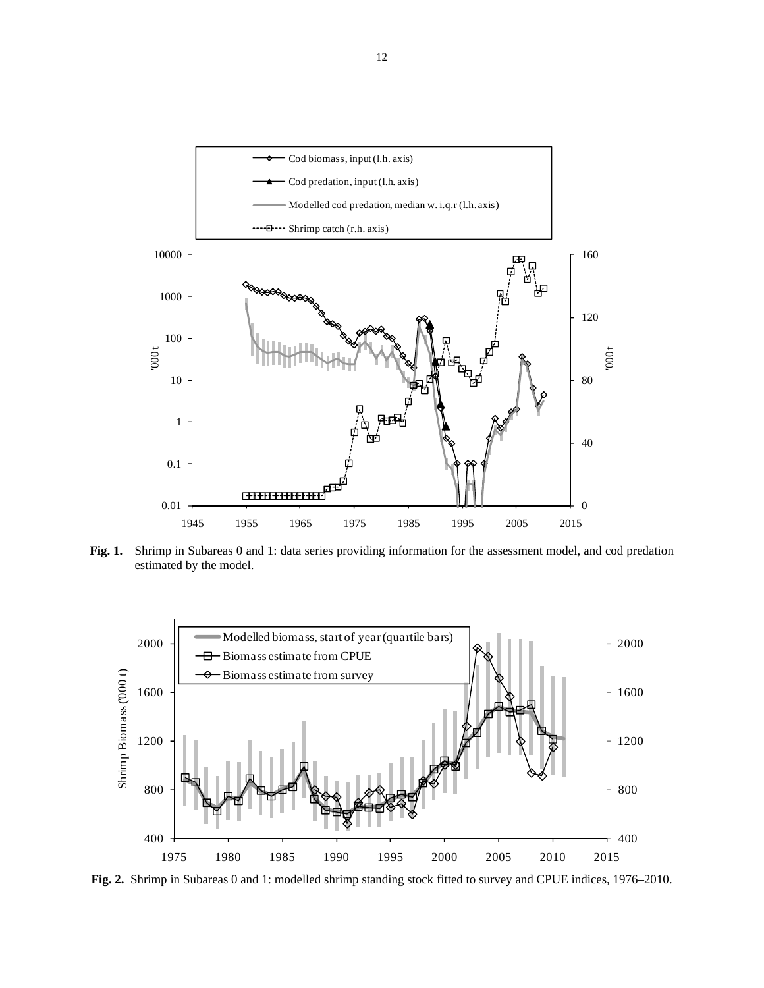

**Fig. 1.** Shrimp in Subareas 0 and 1: data series providing information for the assessment model, and cod predation estimated by the model.



**Fig. 2.** Shrimp in Subareas 0 and 1: modelled shrimp standing stock fitted to survey and CPUE indices, 1976–2010.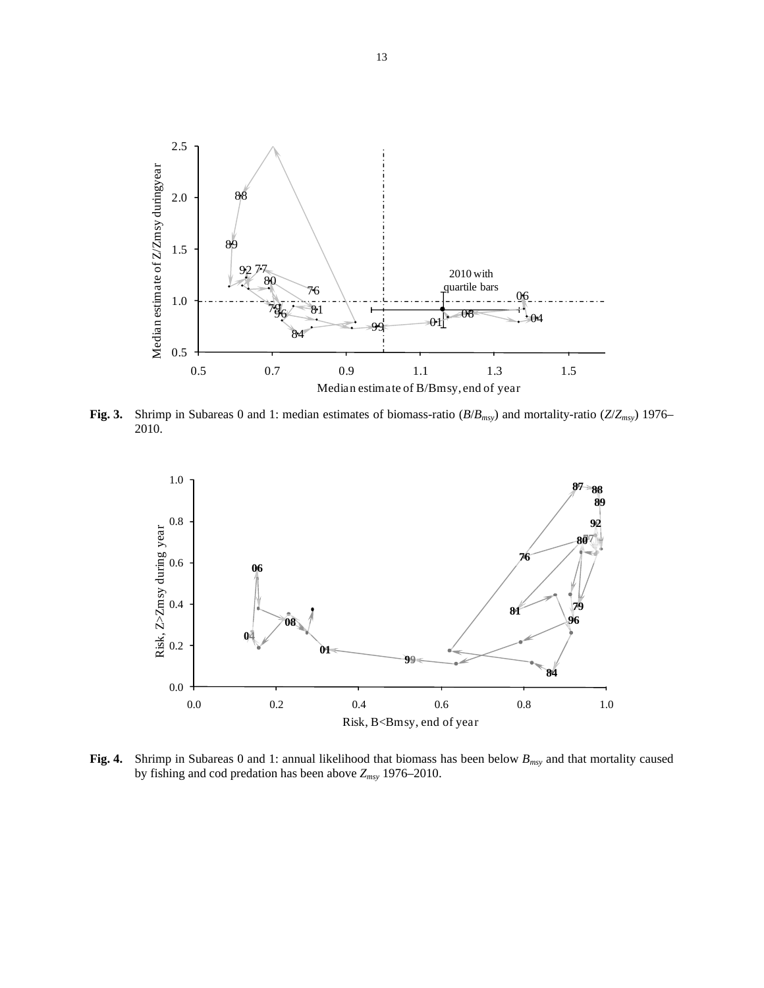

**Fig. 3.** Shrimp in Subareas 0 and 1: median estimates of biomass-ratio (*B*/*Bmsy*) and mortality-ratio (*Z*/*Zmsy*) 1976– 2010.



**Fig. 4.** Shrimp in Subareas 0 and 1: annual likelihood that biomass has been below *Bmsy* and that mortality caused by fishing and cod predation has been above *Zmsy* 1976–2010.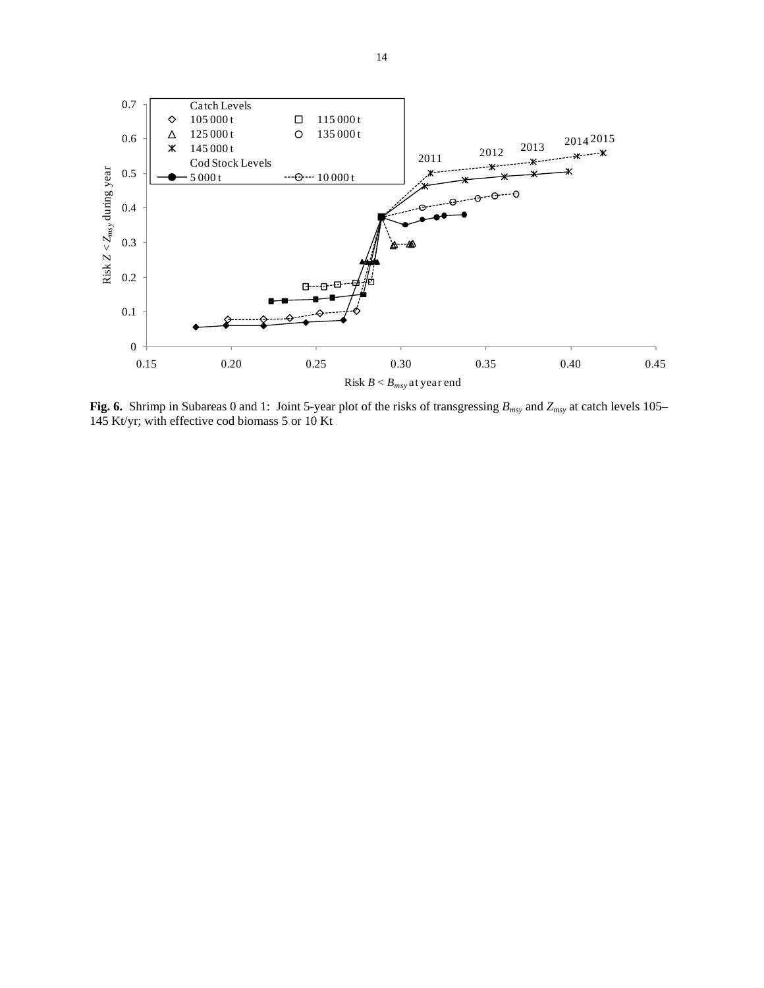

**Fig. 6.** Shrimp in Subareas 0 and 1: Joint 5-year plot of the risks of transgressing *Bmsy* and *Zmsy* at catch levels 105– 145 Kt/yr; with effective cod biomass 5 or 10 Kt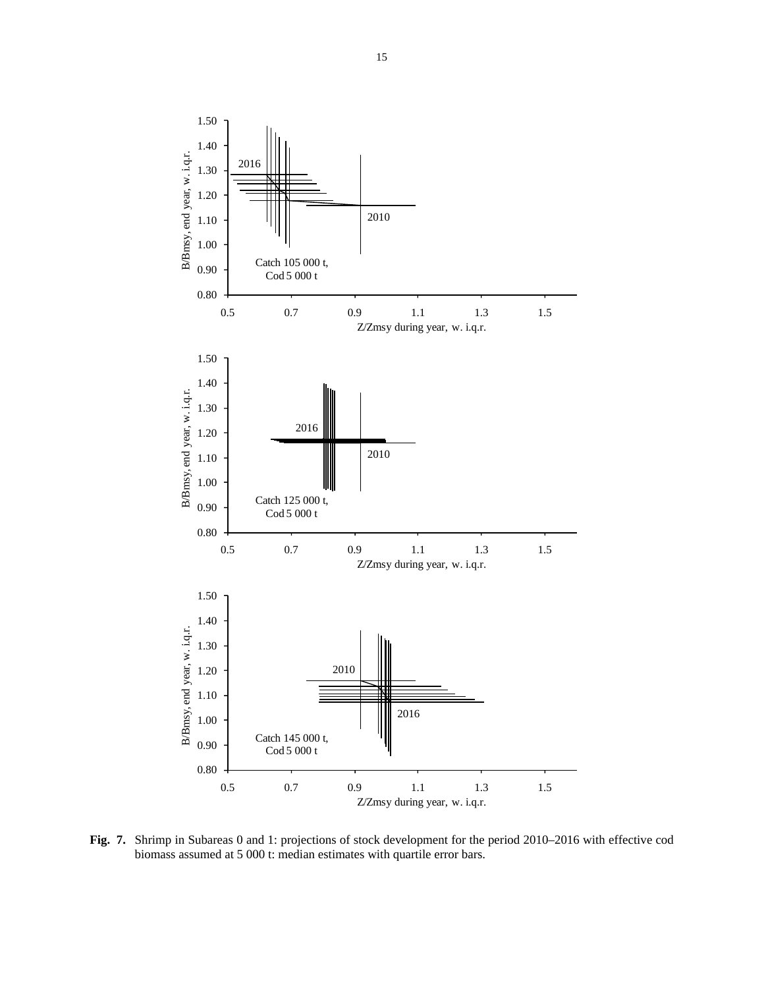

**Fig. 7.** Shrimp in Subareas 0 and 1: projections of stock development for the period 2010–2016 with effective cod biomass assumed at 5 000 t: median estimates with quartile error bars.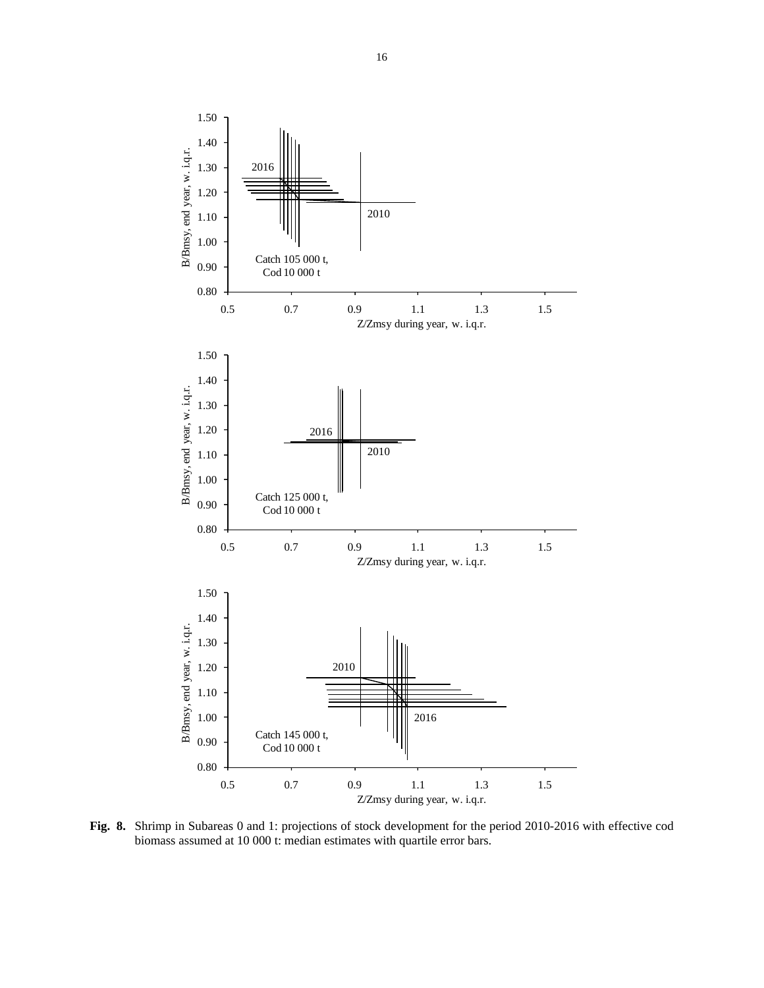

**Fig. 8.** Shrimp in Subareas 0 and 1: projections of stock development for the period 2010-2016 with effective cod biomass assumed at 10 000 t: median estimates with quartile error bars.